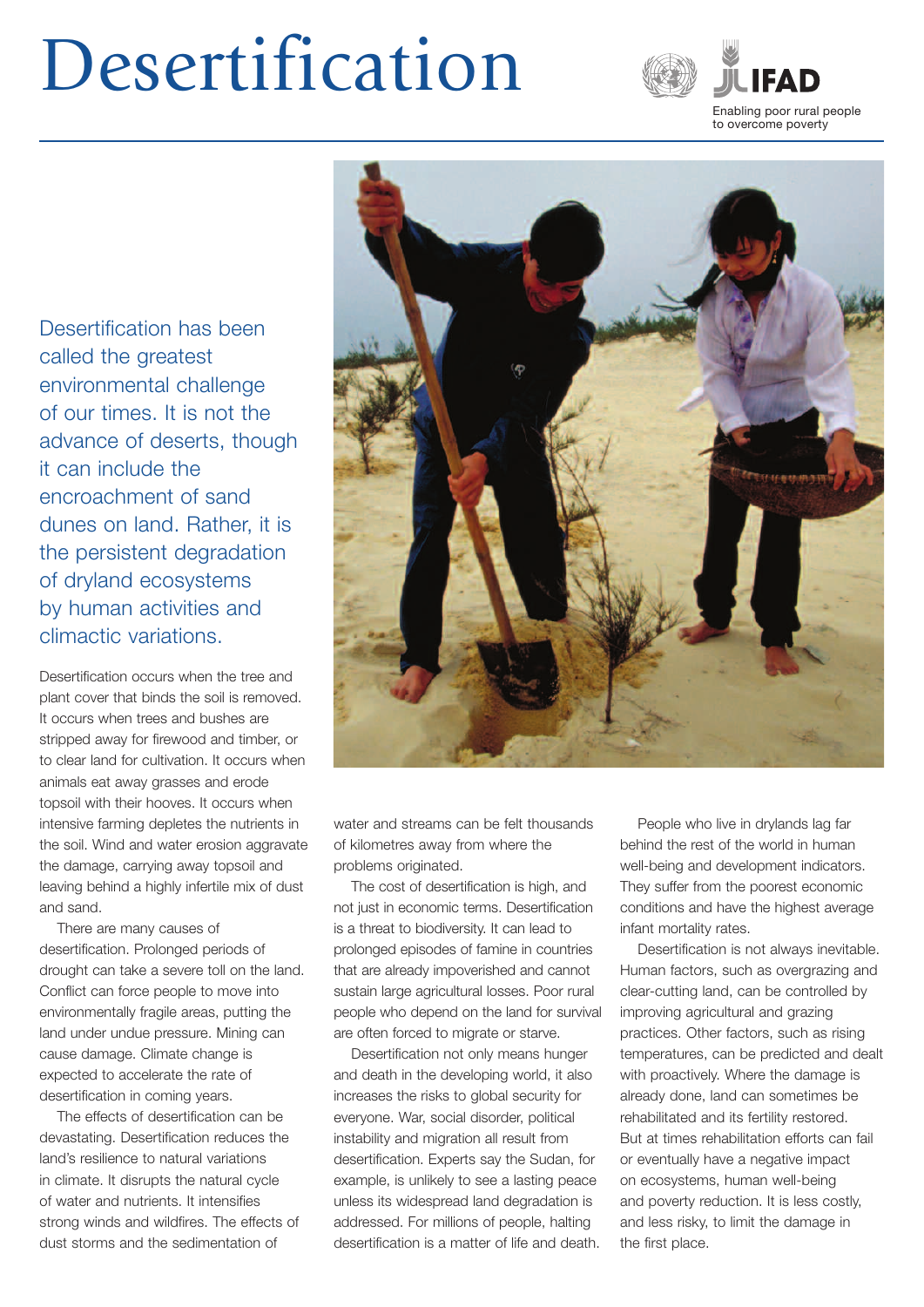## Desertification



# Enabling poor rural people<br>
to overcome poverty **the Contract of Second**<br>Enabling poor rural to<br>to overcome poverty

Desertification has been called the greatest environmental challenge of our times. It is not the advance of deserts, though it can include the encroachment of sand dunes on land. Rather, it is the persistent degradation of dryland ecosystems by human activities and climactic variations.

Desertification occurs when the tree and plant cover that binds the soil is removed. It occurs when trees and bushes are stripped away for firewood and timber, or to clear land for cultivation. It occurs when animals eat away grasses and erode topsoil with their hooves. It occurs when intensive farming depletes the nutrients in the soil. Wind and water erosion aggravate the damage, carrying away topsoil and leaving behind a highly infertile mix of dust and sand.

There are many causes of desertification. Prolonged periods of drought can take a severe toll on the land. Conflict can force people to move into environmentally fragile areas, putting the land under undue pressure. Mining can cause damage. Climate change is expected to accelerate the rate of desertification in coming years.

The effects of desertification can be devastating. Desertification reduces the land's resilience to natural variations in climate. It disrupts the natural cycle of water and nutrients. It intensifies strong winds and wildfires. The effects of dust storms and the sedimentation of



water and streams can be felt thousands of kilometres away from where the problems originated.

The cost of desertification is high, and not just in economic terms. Desertification is a threat to biodiversity. It can lead to prolonged episodes of famine in countries that are already impoverished and cannot sustain large agricultural losses. Poor rural people who depend on the land for survival are often forced to migrate or starve.

Desertification not only means hunger and death in the developing world, it also increases the risks to global security for everyone. War, social disorder, political instability and migration all result from desertification. Experts say the Sudan, for example, is unlikely to see a lasting peace unless its widespread land degradation is addressed. For millions of people, halting desertification is a matter of life and death.

People who live in drylands lag far behind the rest of the world in human well-being and development indicators. They suffer from the poorest economic conditions and have the highest average infant mortality rates.

Desertification is not always inevitable. Human factors, such as overgrazing and clear-cutting land, can be controlled by improving agricultural and grazing practices. Other factors, such as rising temperatures, can be predicted and dealt with proactively. Where the damage is already done, land can sometimes be rehabilitated and its fertility restored. But at times rehabilitation efforts can fail or eventually have a negative impact on ecosystems, human well-being and poverty reduction. It is less costly, and less risky, to limit the damage in the first place.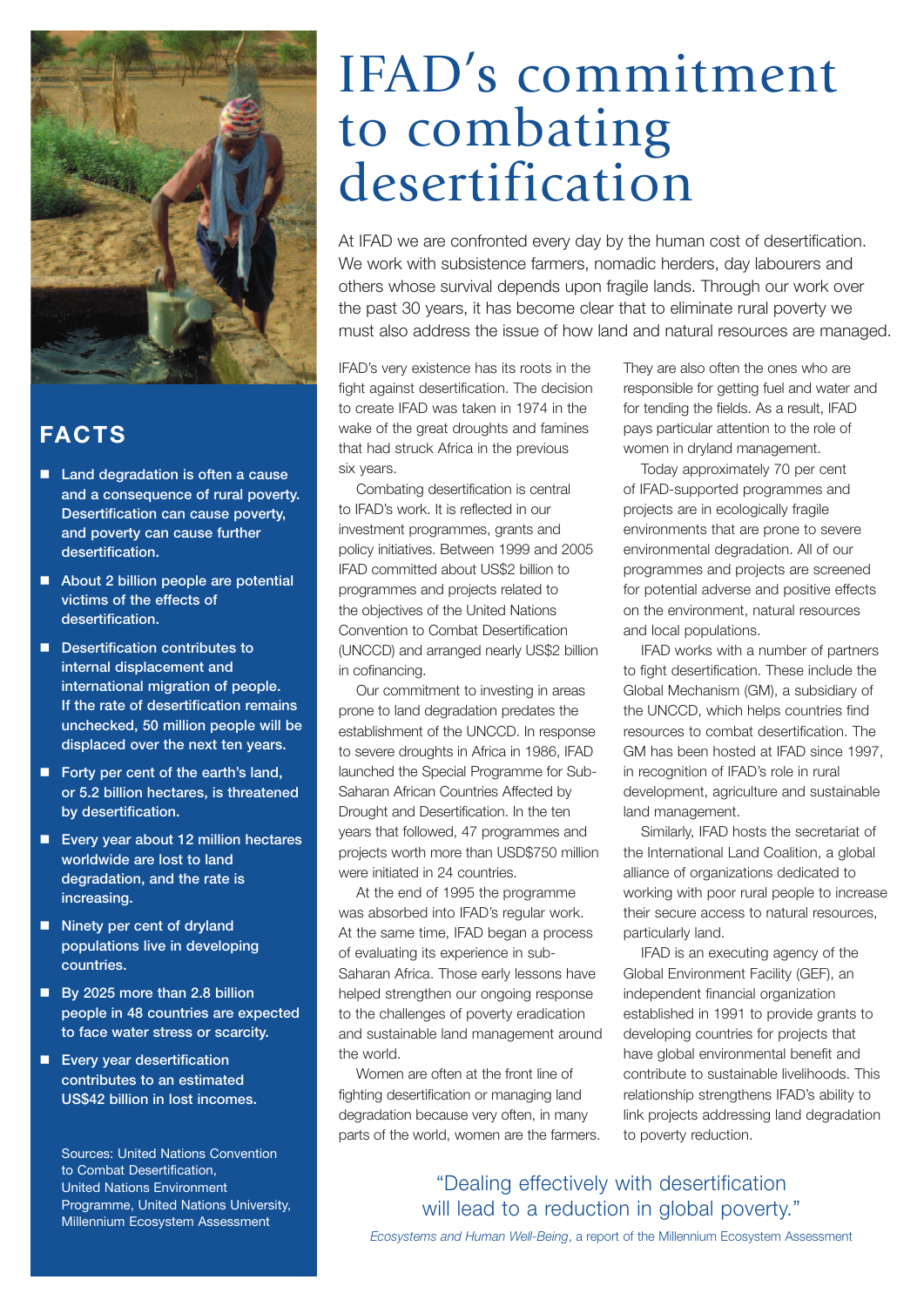

#### **FACTS**

- Land degradation is often a cause and a consequence of rural poverty. Desertification can cause poverty, and poverty can cause further desertification.
- About 2 billion people are potential victims of the effects of desertification.
- Desertification contributes to internal displacement and international migration of people. If the rate of desertification remains unchecked, 50 million people will be displaced over the next ten years.
- Forty per cent of the earth's land, or 5.2 billion hectares, is threatened by desertification.
- Every year about 12 million hectares worldwide are lost to land degradation, and the rate is increasing.
- Ninety per cent of dryland populations live in developing countries.
- By 2025 more than 2.8 billion people in 48 countries are expected to face water stress or scarcity.
- **Exery year desertification** contributes to an estimated US\$42 billion in lost incomes.

Sources: United Nations Convention to Combat Desertification, United Nations Environment Programme, United Nations University, Millennium Ecosystem Assessment

### IFAD's commitment to combating desertification

At IFAD we are confronted every day by the human cost of desertification. We work with subsistence farmers, nomadic herders, day labourers and others whose survival depends upon fragile lands. Through our work over the past 30 years, it has become clear that to eliminate rural poverty we must also address the issue of how land and natural resources are managed.

IFAD's very existence has its roots in the fight against desertification. The decision to create IFAD was taken in 1974 in the wake of the great droughts and famines that had struck Africa in the previous six years.

Combating desertification is central to IFAD's work. It is reflected in our investment programmes, grants and policy initiatives. Between 1999 and 2005 IFAD committed about US\$2 billion to programmes and projects related to the objectives of the United Nations Convention to Combat Desertification (UNCCD) and arranged nearly US\$2 billion in cofinancing.

Our commitment to investing in areas prone to land degradation predates the establishment of the UNCCD. In response to severe droughts in Africa in 1986, IFAD launched the Special Programme for Sub-Saharan African Countries Affected by Drought and Desertification. In the ten years that followed, 47 programmes and projects worth more than USD\$750 million were initiated in 24 countries.

At the end of 1995 the programme was absorbed into IFAD's regular work. At the same time, IFAD began a process of evaluating its experience in sub-Saharan Africa. Those early lessons have helped strengthen our ongoing response to the challenges of poverty eradication and sustainable land management around the world.

Women are often at the front line of fighting desertification or managing land degradation because very often, in many parts of the world, women are the farmers. They are also often the ones who are responsible for getting fuel and water and for tending the fields. As a result, IFAD pays particular attention to the role of women in dryland management.

Today approximately 70 per cent of IFAD-supported programmes and projects are in ecologically fragile environments that are prone to severe environmental degradation. All of our programmes and projects are screened for potential adverse and positive effects on the environment, natural resources and local populations.

IFAD works with a number of partners to fight desertification. These include the Global Mechanism (GM), a subsidiary of the UNCCD, which helps countries find resources to combat desertification. The GM has been hosted at IFAD since 1997, in recognition of IFAD's role in rural development, agriculture and sustainable land management.

Similarly, IFAD hosts the secretariat of the International Land Coalition, a global alliance of organizations dedicated to working with poor rural people to increase their secure access to natural resources, particularly land.

IFAD is an executing agency of the Global Environment Facility (GEF), an independent financial organization established in 1991 to provide grants to developing countries for projects that have global environmental benefit and contribute to sustainable livelihoods. This relationship strengthens IFAD's ability to link projects addressing land degradation to poverty reduction.

#### "Dealing effectively with desertification will lead to a reduction in global poverty."

*Ecosystems and Human Well-Being*, a report of the Millennium Ecosystem Assessment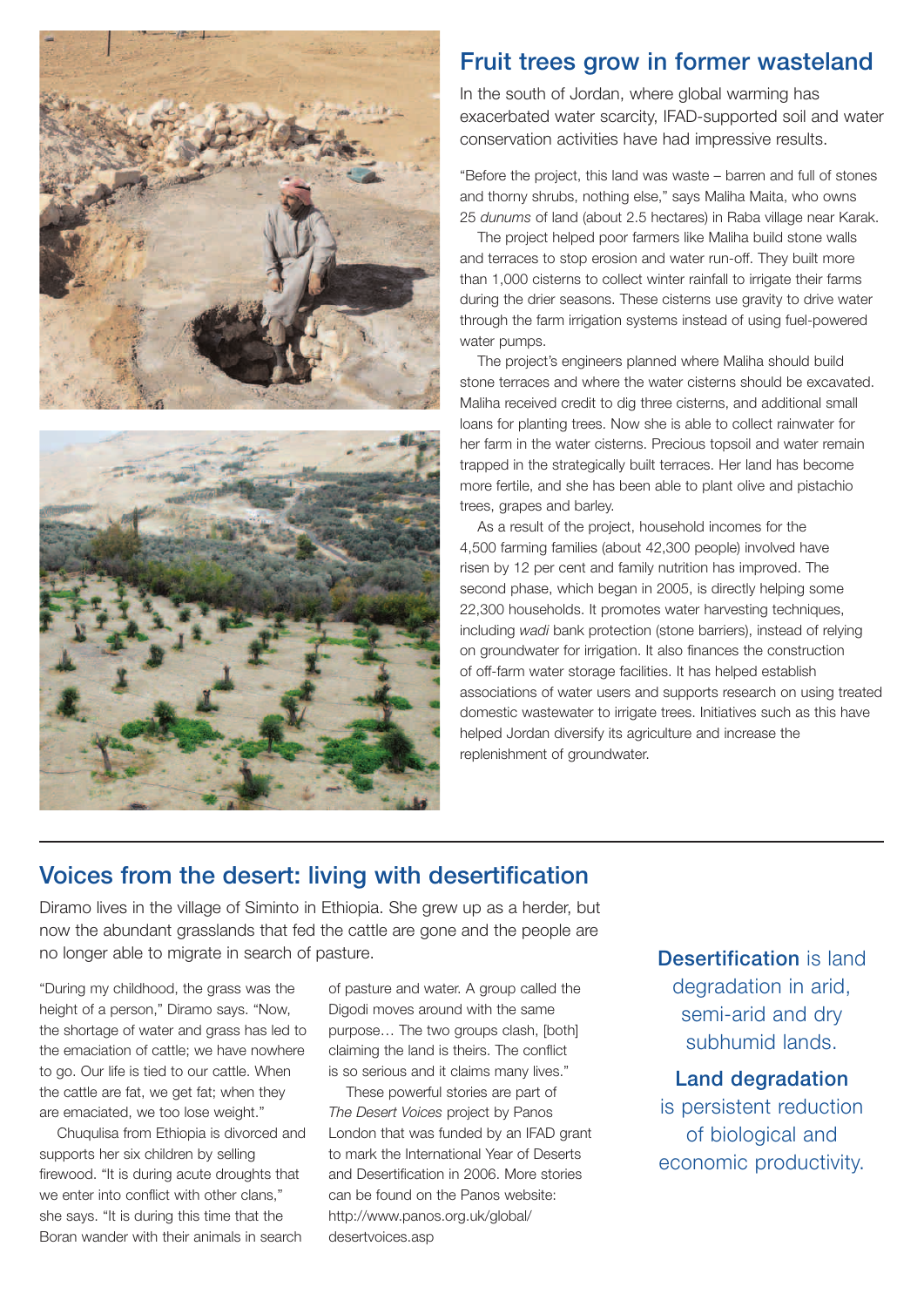



#### Fruit trees grow in former wasteland

In the south of Jordan, where global warming has exacerbated water scarcity, IFAD-supported soil and water conservation activities have had impressive results.

"Before the project, this land was waste – barren and full of stones and thorny shrubs, nothing else," says Maliha Maita, who owns 25 *dunums* of land (about 2.5 hectares) in Raba village near Karak.

The project helped poor farmers like Maliha build stone walls and terraces to stop erosion and water run-off. They built more than 1,000 cisterns to collect winter rainfall to irrigate their farms during the drier seasons. These cisterns use gravity to drive water through the farm irrigation systems instead of using fuel-powered water pumps.

The project's engineers planned where Maliha should build stone terraces and where the water cisterns should be excavated. Maliha received credit to dig three cisterns, and additional small loans for planting trees. Now she is able to collect rainwater for her farm in the water cisterns. Precious topsoil and water remain trapped in the strategically built terraces. Her land has become more fertile, and she has been able to plant olive and pistachio trees, grapes and barley.

As a result of the project, household incomes for the 4,500 farming families (about 42,300 people) involved have risen by 12 per cent and family nutrition has improved. The second phase, which began in 2005, is directly helping some 22,300 households. It promotes water harvesting techniques, including *wadi* bank protection (stone barriers), instead of relying on groundwater for irrigation. It also finances the construction of off-farm water storage facilities. It has helped establish associations of water users and supports research on using treated domestic wastewater to irrigate trees. Initiatives such as this have helped Jordan diversify its agriculture and increase the replenishment of groundwater.

#### Voices from the desert: living with desertification

Diramo lives in the village of Siminto in Ethiopia. She grew up as a herder, but now the abundant grasslands that fed the cattle are gone and the people are no longer able to migrate in search of pasture.<br> **Desertification** is land

"During my childhood, the grass was the height of a person," Diramo says. "Now, the shortage of water and grass has led to the emaciation of cattle; we have nowhere to go. Our life is tied to our cattle. When the cattle are fat, we get fat; when they are emaciated, we too lose weight."

Chuqulisa from Ethiopia is divorced and supports her six children by selling firewood. "It is during acute droughts that we enter into conflict with other clans," she says. "It is during this time that the Boran wander with their animals in search

of pasture and water. A group called the Digodi moves around with the same purpose… The two groups clash, [both] claiming the land is theirs. The conflict is so serious and it claims many lives."

These powerful stories are part of *The Desert Voices* project by Panos London that was funded by an IFAD grant to mark the International Year of Deserts and Desertification in 2006. More stories can be found on the Panos website: http://www.panos.org.uk/global/ desertvoices.asp

degradation in arid, semi-arid and dry subhumid lands.

Land degradation is persistent reduction of biological and economic productivity.